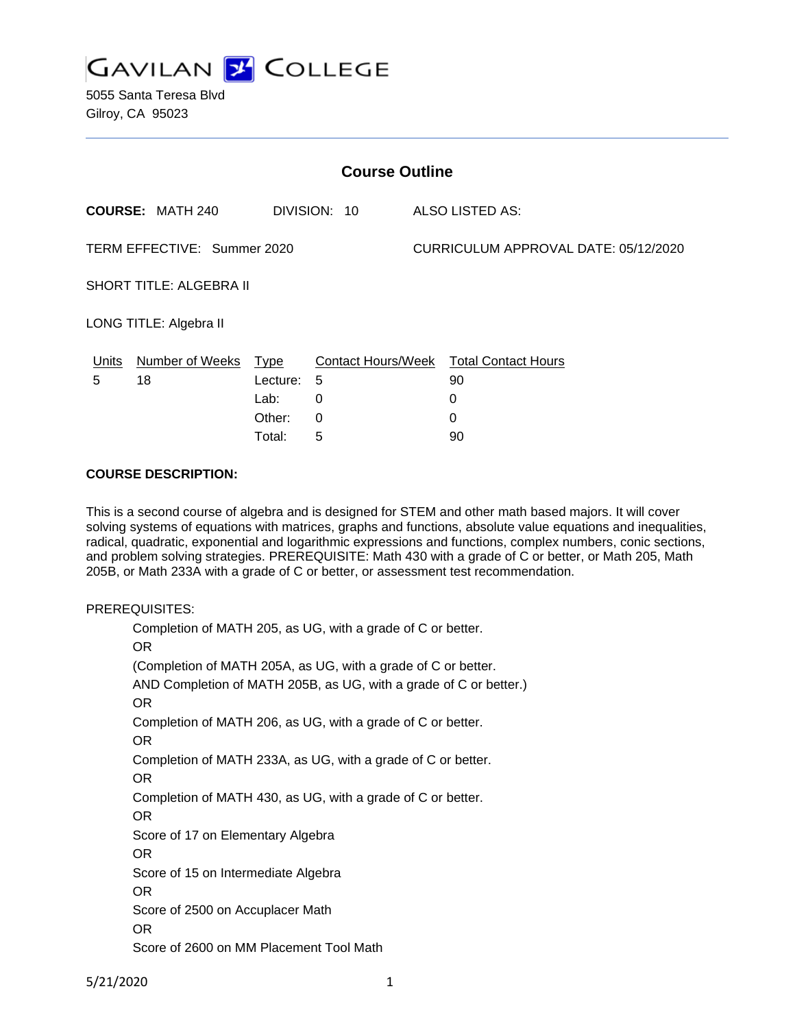

5055 Santa Teresa Blvd Gilroy, CA 95023

| <b>Course Outline</b>       |                            |                                      |                  |                 |                                                              |  |
|-----------------------------|----------------------------|--------------------------------------|------------------|-----------------|--------------------------------------------------------------|--|
| <b>COURSE: MATH 240</b>     |                            | DIVISION: 10                         |                  | ALSO LISTED AS: |                                                              |  |
| TERM EFFECTIVE: Summer 2020 |                            |                                      |                  |                 | CURRICULUM APPROVAL DATE: 05/12/2020                         |  |
| SHORT TITLE: ALGEBRA II     |                            |                                      |                  |                 |                                                              |  |
| LONG TITLE: Algebra II      |                            |                                      |                  |                 |                                                              |  |
| <u>Units</u><br>5           | Number of Weeks Type<br>18 | Lecture:<br>Lab:<br>Other:<br>Total: | 5<br>0<br>0<br>5 |                 | Contact Hours/Week Total Contact Hours<br>90<br>0<br>0<br>90 |  |

### **COURSE DESCRIPTION:**

This is a second course of algebra and is designed for STEM and other math based majors. It will cover solving systems of equations with matrices, graphs and functions, absolute value equations and inequalities, radical, quadratic, exponential and logarithmic expressions and functions, complex numbers, conic sections, and problem solving strategies. PREREQUISITE: Math 430 with a grade of C or better, or Math 205, Math 205B, or Math 233A with a grade of C or better, or assessment test recommendation.

#### PREREQUISITES:

Completion of MATH 205, as UG, with a grade of C or better. OR (Completion of MATH 205A, as UG, with a grade of C or better. AND Completion of MATH 205B, as UG, with a grade of C or better.) OR Completion of MATH 206, as UG, with a grade of C or better. OR Completion of MATH 233A, as UG, with a grade of C or better. OR Completion of MATH 430, as UG, with a grade of C or better. OR Score of 17 on Elementary Algebra OR Score of 15 on Intermediate Algebra OR Score of 2500 on Accuplacer Math OR Score of 2600 on MM Placement Tool Math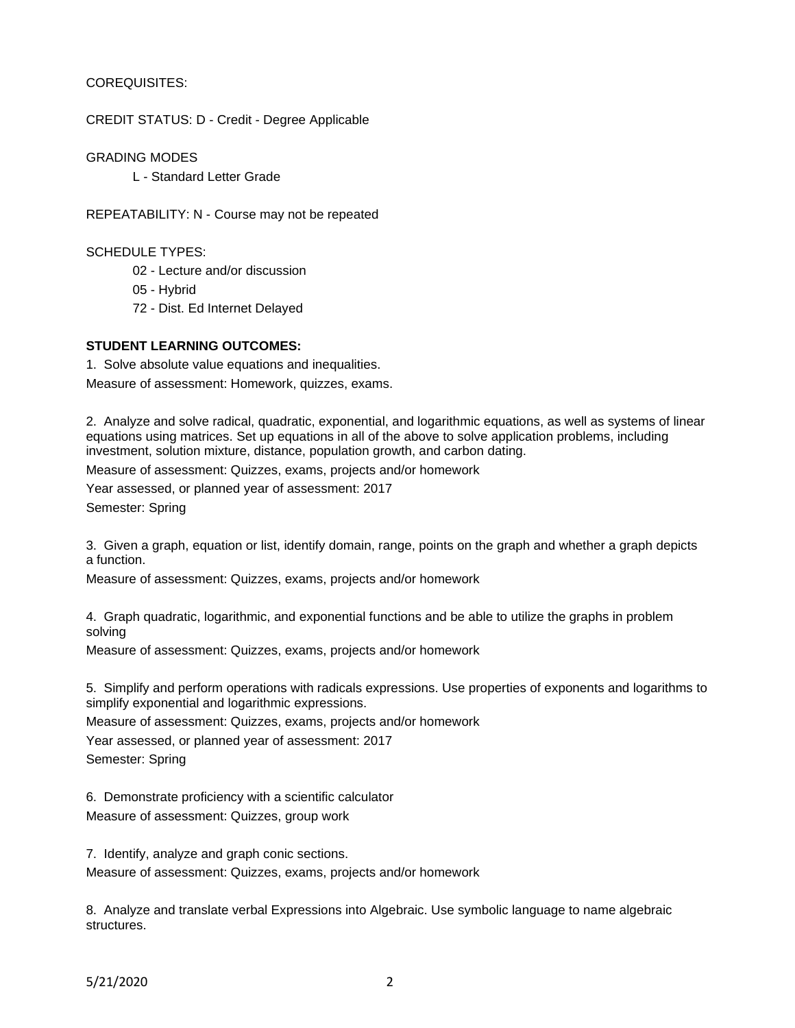### COREQUISITES:

CREDIT STATUS: D - Credit - Degree Applicable

GRADING MODES

L - Standard Letter Grade

REPEATABILITY: N - Course may not be repeated

SCHEDULE TYPES:

02 - Lecture and/or discussion

05 - Hybrid

72 - Dist. Ed Internet Delayed

### **STUDENT LEARNING OUTCOMES:**

1. Solve absolute value equations and inequalities.

Measure of assessment: Homework, quizzes, exams.

2. Analyze and solve radical, quadratic, exponential, and logarithmic equations, as well as systems of linear equations using matrices. Set up equations in all of the above to solve application problems, including investment, solution mixture, distance, population growth, and carbon dating.

Measure of assessment: Quizzes, exams, projects and/or homework

Year assessed, or planned year of assessment: 2017

Semester: Spring

3. Given a graph, equation or list, identify domain, range, points on the graph and whether a graph depicts a function.

Measure of assessment: Quizzes, exams, projects and/or homework

4. Graph quadratic, logarithmic, and exponential functions and be able to utilize the graphs in problem solving

Measure of assessment: Quizzes, exams, projects and/or homework

5. Simplify and perform operations with radicals expressions. Use properties of exponents and logarithms to simplify exponential and logarithmic expressions.

Measure of assessment: Quizzes, exams, projects and/or homework

Year assessed, or planned year of assessment: 2017 Semester: Spring

6. Demonstrate proficiency with a scientific calculator

Measure of assessment: Quizzes, group work

7. Identify, analyze and graph conic sections. Measure of assessment: Quizzes, exams, projects and/or homework

8. Analyze and translate verbal Expressions into Algebraic. Use symbolic language to name algebraic structures.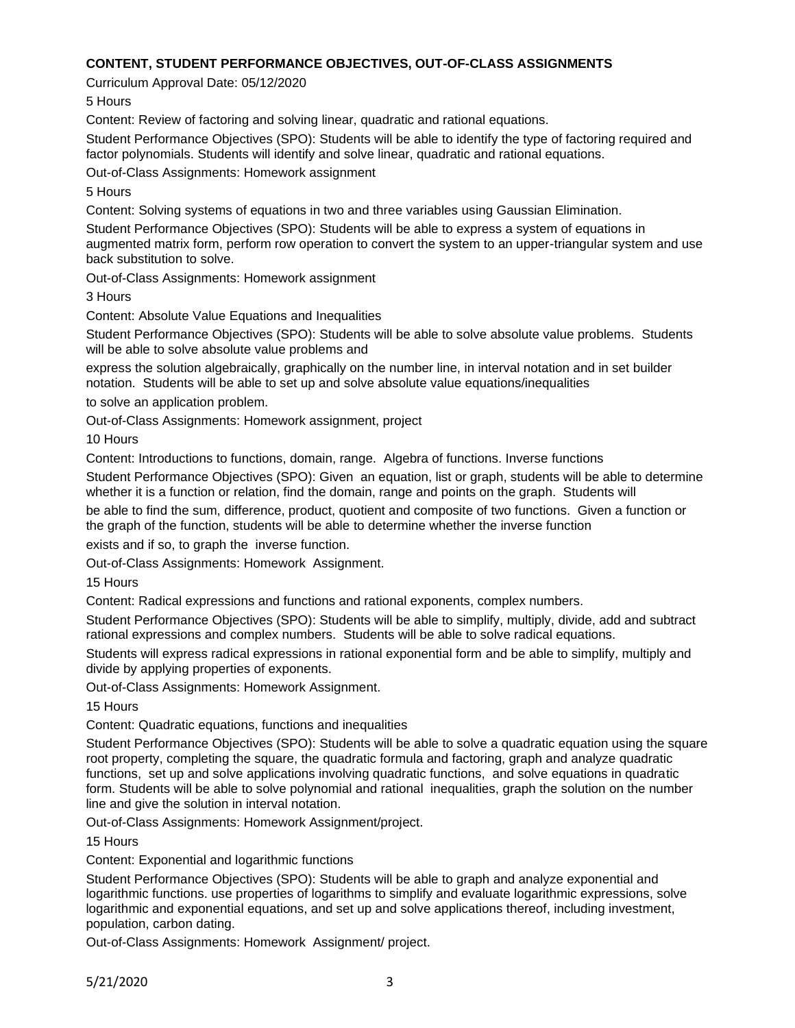### **CONTENT, STUDENT PERFORMANCE OBJECTIVES, OUT-OF-CLASS ASSIGNMENTS**

Curriculum Approval Date: 05/12/2020

5 Hours

Content: Review of factoring and solving linear, quadratic and rational equations.

Student Performance Objectives (SPO): Students will be able to identify the type of factoring required and factor polynomials. Students will identify and solve linear, quadratic and rational equations.

Out-of-Class Assignments: Homework assignment

# 5 Hours

Content: Solving systems of equations in two and three variables using Gaussian Elimination.

Student Performance Objectives (SPO): Students will be able to express a system of equations in augmented matrix form, perform row operation to convert the system to an upper-triangular system and use back substitution to solve.

Out-of-Class Assignments: Homework assignment

3 Hours

Content: Absolute Value Equations and Inequalities

Student Performance Objectives (SPO): Students will be able to solve absolute value problems. Students will be able to solve absolute value problems and

express the solution algebraically, graphically on the number line, in interval notation and in set builder notation. Students will be able to set up and solve absolute value equations/inequalities

to solve an application problem.

Out-of-Class Assignments: Homework assignment, project

10 Hours

Content: Introductions to functions, domain, range. Algebra of functions. Inverse functions

Student Performance Objectives (SPO): Given an equation, list or graph, students will be able to determine whether it is a function or relation, find the domain, range and points on the graph. Students will

be able to find the sum, difference, product, quotient and composite of two functions. Given a function or the graph of the function, students will be able to determine whether the inverse function

exists and if so, to graph the inverse function.

Out-of-Class Assignments: Homework Assignment.

15 Hours

Content: Radical expressions and functions and rational exponents, complex numbers.

Student Performance Objectives (SPO): Students will be able to simplify, multiply, divide, add and subtract rational expressions and complex numbers. Students will be able to solve radical equations.

Students will express radical expressions in rational exponential form and be able to simplify, multiply and divide by applying properties of exponents.

Out-of-Class Assignments: Homework Assignment.

15 Hours

Content: Quadratic equations, functions and inequalities

Student Performance Objectives (SPO): Students will be able to solve a quadratic equation using the square root property, completing the square, the quadratic formula and factoring, graph and analyze quadratic functions, set up and solve applications involving quadratic functions, and solve equations in quadratic form. Students will be able to solve polynomial and rational inequalities, graph the solution on the number line and give the solution in interval notation.

Out-of-Class Assignments: Homework Assignment/project.

15 Hours

Content: Exponential and logarithmic functions

Student Performance Objectives (SPO): Students will be able to graph and analyze exponential and logarithmic functions. use properties of logarithms to simplify and evaluate logarithmic expressions, solve logarithmic and exponential equations, and set up and solve applications thereof, including investment, population, carbon dating.

Out-of-Class Assignments: Homework Assignment/ project.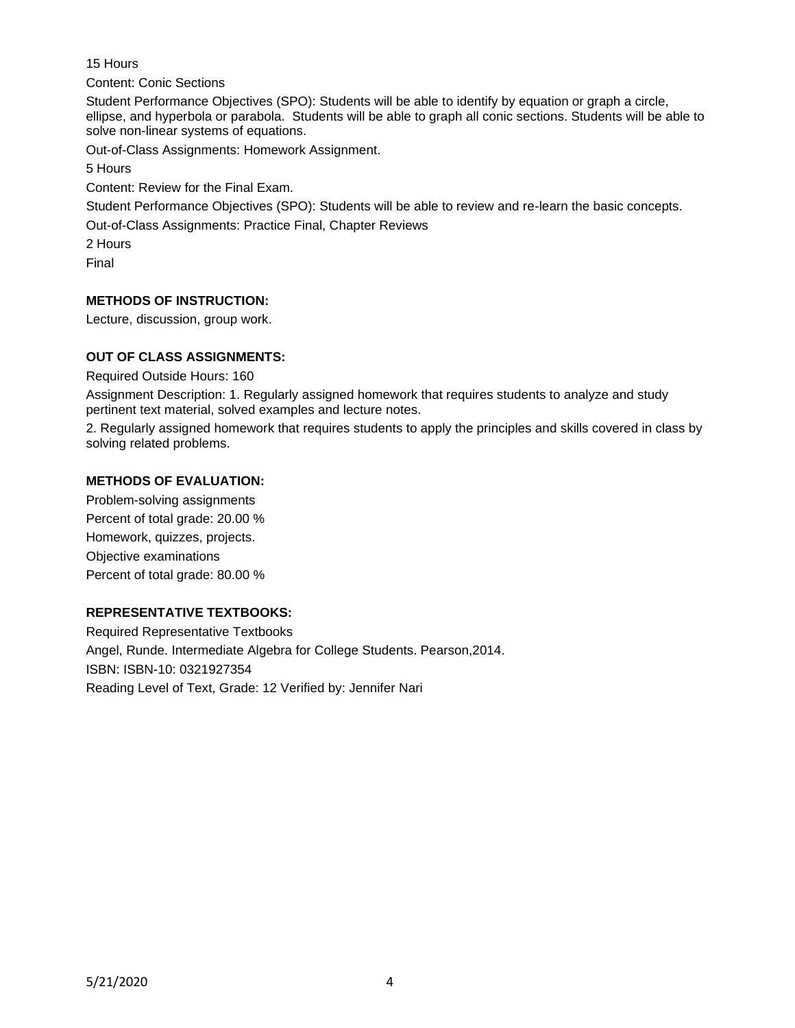15 Hours

Content: Conic Sections

Student Performance Objectives (SPO): Students will be able to identify by equation or graph a circle, ellipse, and hyperbola or parabola. Students will be able to graph all conic sections. Students will be able to solve non-linear systems of equations.

Out-of-Class Assignments: Homework Assignment.

5 Hours

Content: Review for the Final Exam.

Student Performance Objectives (SPO): Students will be able to review and re-learn the basic concepts.

Out-of-Class Assignments: Practice Final, Chapter Reviews

2 Hours

Final

# **METHODS OF INSTRUCTION:**

Lecture, discussion, group work.

## **OUT OF CLASS ASSIGNMENTS:**

Required Outside Hours: 160

Assignment Description: 1. Regularly assigned homework that requires students to analyze and study pertinent text material, solved examples and lecture notes.

2. Regularly assigned homework that requires students to apply the principles and skills covered in class by solving related problems.

### **METHODS OF EVALUATION:**

Problem-solving assignments Percent of total grade: 20.00 % Homework, quizzes, projects. Objective examinations Percent of total grade: 80.00 %

### **REPRESENTATIVE TEXTBOOKS:**

Required Representative Textbooks Angel, Runde. Intermediate Algebra for College Students. Pearson,2014. ISBN: ISBN-10: 0321927354 Reading Level of Text, Grade: 12 Verified by: Jennifer Nari